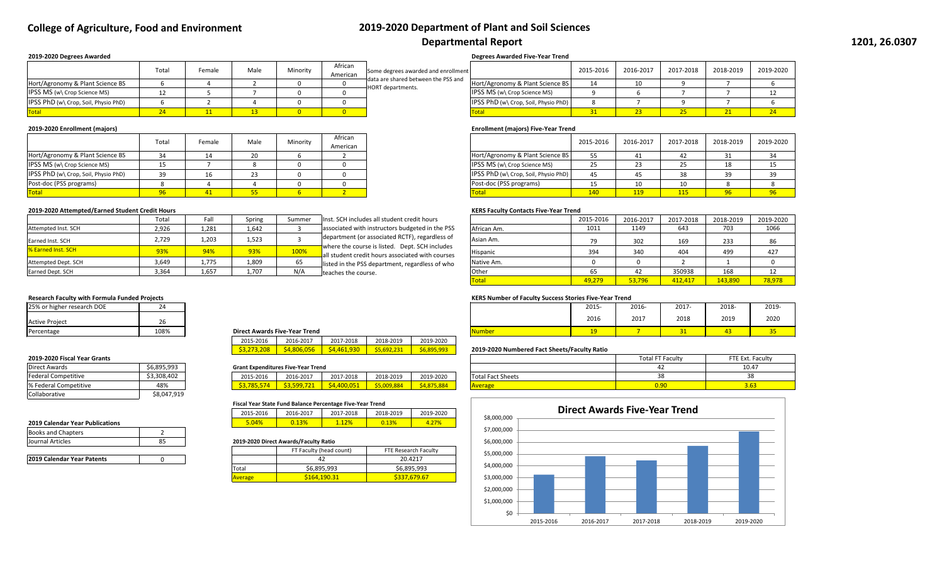| African  |                                      | 2015-2016  | 2016-2017  | 2017-2018  | 2018-2019 | 2019-2020 |
|----------|--------------------------------------|------------|------------|------------|-----------|-----------|
| American |                                      |            |            |            |           |           |
|          | Hort/Agronomy & Plant Science BS     | 55         | -41        | 42         | 31        | 34        |
|          | IPSS MS (w\ Crop Science MS)         | 25         | 23         | 25         | 18        |           |
|          | IPSS PhD (w\ Crop, Soil, Physio PhD) | 45         | 45         | 38         | 39        | 39        |
|          | Post-doc (PSS programs)              | 15         | 10         | 10         |           |           |
|          | <b>Total</b>                         | <b>140</b> | <b>119</b> | <b>115</b> | 96        | 96        |

|                                      | Total | Female          | Male | Minority | African<br>American |
|--------------------------------------|-------|-----------------|------|----------|---------------------|
| Hort/Agronomy & Plant Science BS     |       |                 |      |          |                     |
| IPSS MS (w\ Crop Science MS)         | --    |                 |      |          |                     |
| IPSS PhD (w\ Crop, Soil, Physio PhD) |       | 16              | 23   |          |                     |
| Post-doc (PSS programs)              |       |                 |      |          |                     |
| <b>Total</b>                         |       | $\overline{11}$ |      |          |                     |

### **2019-2020 Attempted/Earned Student Credit Hours** *KERS Faculty Contacts Five-Year Trend*

| Total | Fall  | Spring | Summer | Inst. SCH includes all student credit hours                                                        |             | 2015-2016 | 2016-2017 | 2017-2018 | 2018-2019 | 2019-2020 |
|-------|-------|--------|--------|----------------------------------------------------------------------------------------------------|-------------|-----------|-----------|-----------|-----------|-----------|
| 2,926 | 1,281 | 1,642  |        | associated with instructors budgeted in the PSS                                                    | African Am. | 1011      | 1149      | 643       | 703       | 1066      |
| 2,729 | 1,203 | 1,523  |        | department (or associated RCTF), regardless of                                                     | Asian Am.   | 79        | 302       | 169       | 233       | 86        |
| 93%   | 94%   | 93%    | 100%   | where the course is listed. Dept. SCH includes<br>all student credit hours associated with courses | Hispanic    | 394       | 340       | 404       | 499       | 427       |
| 3,649 | 1,775 | 1,809  | 65     | listed in the PSS department, regardless of who                                                    | Native Am.  |           |           |           |           |           |
| 3,364 | 1,657 | 1,707  | N/A    | teaches the course.                                                                                | Other       | 65        | 42        | 350938    | 168       |           |
|       |       |        |        |                                                                                                    | Total       | 49,279    | 53,796    | 412,417   | 143,890   | 78,978    |

|                                                                 |                                     | <b>Degrees Awarded Five-Year Trend</b>     |           |           |           |           |           |
|-----------------------------------------------------------------|-------------------------------------|--------------------------------------------|-----------|-----------|-----------|-----------|-----------|
| African<br>American                                             | Some degrees awarded and enrollment |                                            | 2015-2016 | 2016-2017 | 2017-2018 | 2018-2019 | 2019-2020 |
| data are shared between the PSS and<br><b>HORT</b> departments. |                                     | Hort/Agronomy & Plant Science BS           | 14        | 10        | n         |           |           |
|                                                                 |                                     | IPSS MS (w\ Crop Science MS)               |           |           |           |           | 12        |
|                                                                 |                                     | IPSS PhD (w\ Crop, Soil, Physio PhD)       | 8         |           | Q         |           |           |
|                                                                 |                                     | <b>Total</b>                               | 31        | 23        | 25        | 21        | 24        |
|                                                                 |                                     | <b>Enrollment (majors) Five-Year Trend</b> |           |           |           |           |           |
| African                                                         |                                     |                                            | 2015-2016 | 2016-2017 | 2017-2018 | 2018-2019 | 2019-2020 |

|                                      | Total | <sup>:</sup> emale | Male | Minority | African<br>American | Some degrees awarded and enrollment                             |                                        | 2015-2016 | 2016-2017 | 2017-2018 | 2018-2019 | 2019-2 |
|--------------------------------------|-------|--------------------|------|----------|---------------------|-----------------------------------------------------------------|----------------------------------------|-----------|-----------|-----------|-----------|--------|
| Hort/Agronomy & Plant Science BS     |       |                    |      |          |                     | data are shared between the PSS and<br><b>HORT</b> departments. | Hort/Agronomy & Plant Science BS       |           | 1 Ω.      |           |           |        |
| <b>IPSS MS (w) Crop Science MS)</b>  |       |                    |      |          |                     |                                                                 | <b>IPSS MS (w) Crop Science MS)</b>    |           |           |           |           |        |
| IPSS PhD (w\ Crop, Soil, Physio PhD) |       |                    |      |          |                     |                                                                 | IPSS PhD (w\ Crop, Soil, Physio PhD) I |           |           |           |           |        |
| <b>Total</b>                         |       |                    |      |          |                     |                                                                 |                                        |           |           | 25        |           |        |

## **Research Faculty with Formula Funded Projects KERS Number of Faculty Success Stories Five-Year Trend**

| lumber |  |  |
|--------|--|--|

## **2019-2020 Numbered Fact Sheets/Faculty Ratio**

| <b>Total Fact Sheets</b> |  |
|--------------------------|--|
| <b>Average</b>           |  |

| 25% or higher<br>gher research DOE |      |                                      |      | 2015 | 2016- | 2017-                           | 2018 | 2019 |
|------------------------------------|------|--------------------------------------|------|------|-------|---------------------------------|------|------|
| <b>Active Project</b>              | ZO   |                                      |      | 2016 | 2017  | 2018                            | 2019 | 2020 |
| Percentage                         | 108% | <b>Direct Awards Five-Year Trend</b> | Numb |      |       | <b>CONTRACT</b><br><u>J I J</u> |      |      |

| 2015-2016         | 2016-2017  | 2017-2018  | 2018-2019           | 2019-2020  |
|-------------------|------------|------------|---------------------|------------|
| <b>S3.2/3.208</b> | S4.806.056 | S4.461.930 | $\sqrt{55,692,231}$ | S6,895,993 |

### **Grant Expenditures Five-Year Trend**

### **2019-2020 Fiscal Year Grants**

| \$3,308,402<br>Federa.<br>Competitive | 2015-2016 | 2016-2017   | 2017-<br>7-2018                      | 2018-2019                           | 2019-2020     | Total<br>Fact Sheets |
|---------------------------------------|-----------|-------------|--------------------------------------|-------------------------------------|---------------|----------------------|
| 48%<br>% Federa<br>Competitive        | 785       | $ -$<br>caa | $\sim$ $\sim$ $\sim$<br>AC<br>-400 C | ററ<br>. .<br>00. <del>כטט.כ</del> נ | 3.884<br>4.8. |                      |

|                           | Total | Fall  | Spring | Summer | Inst. SCH includes all student credit hours                                                        |              | 2015-2016 | 2016-2017 | 2017-2018 | 2018-2019 | 2019-20 |
|---------------------------|-------|-------|--------|--------|----------------------------------------------------------------------------------------------------|--------------|-----------|-----------|-----------|-----------|---------|
| Attempted Inst. SCH       | 2,926 | 1,281 | 1,642  |        | associated with instructors budgeted in the PSS                                                    | African Am.  | 1011      | 1149      | 643       | 703       | 1066    |
| Earned Inst. SCH          | 2,729 | 1,203 | 1,523  |        | department (or associated RCTF), regardless of                                                     | Asian Am.    | 79        | 302       | 169       | 233       | 86      |
| <b>% Earned Inst. SCH</b> | 93%   | 94%   | 93%    | 100%   | where the course is listed. Dept. SCH includes<br>all student credit hours associated with courses | Hispanic     | 394       | 340       | 404       | 499       | 427     |
| Attempted Dept. SCH       | 3,649 | 1,775 | 1,809  |        | listed in the PSS department, regardless of who                                                    | Native Am.   |           |           |           |           |         |
| Earned Dept. SCH          | 3,364 | 1,657 | 1,707  | N/A    | teaches the course.                                                                                | <b>Other</b> | 65        |           | 350938    | 168       |         |
|                           |       |       |        |        |                                                                                                    |              |           |           |           |           |         |

| 25% or higher research DOE | 2Δ   |
|----------------------------|------|
| Active Project             | 26   |
| Percentage                 | 108% |

| Direct Awards              | \$6,895,993 |
|----------------------------|-------------|
| <b>Federal Competitive</b> | \$3,308,402 |
| % Federal Competitive      | 48%         |
| Collaborative              | \$8,047,919 |

### **2019 Calendar Year Publications**

### **Fiscal Year State Fund Balance Percentage Five-Year Trend**

| 2015-2016 | 2016-2017 | 2017-2018 | 2018-2019 | 2019-2020 |
|-----------|-----------|-----------|-----------|-----------|
| 04%       |           | גסרי      |           |           |

| <b>Books and Chapters</b> |  |
|---------------------------|--|
| Journal Articles          |  |

## Journal Articles 85 **2019-2020 Direct Awards/Faculty Ratio**

| <b>2019 Calendar Year Patents</b> |  |
|-----------------------------------|--|
|                                   |  |

### **Direct Awards Five-Year Trend**

### **2019-2020 Degrees Awarded**

### **2019-2020 Enrollment (majors)**

|                | FT Faculty (head count) | FTE Research Faculty |
|----------------|-------------------------|----------------------|
|                |                         | 20.4217              |
| <b>ITotal</b>  | \$6,895,993             | \$6,895,993          |
| <b>Average</b> | S164.190.31             | \$337,679.67         |

# **College of Agriculture, Food and Environment 2019-2020 Department of Plant and Soil Sciences Departmental Report**

| <b>Total FT Faculty</b> | FTE Ext. Faculty |
|-------------------------|------------------|
|                         | 10.47            |
| 38                      | 38               |
| n ar                    | 3.63             |

| \$8,000,000 |           |
|-------------|-----------|
| \$7,000,000 |           |
| \$6,000,000 |           |
| \$5,000,000 |           |
| \$4,000,000 |           |
| \$3,000,000 |           |
| \$2,000,000 |           |
| \$1,000,000 |           |
| Ś0          |           |
|             | 2015-2016 |